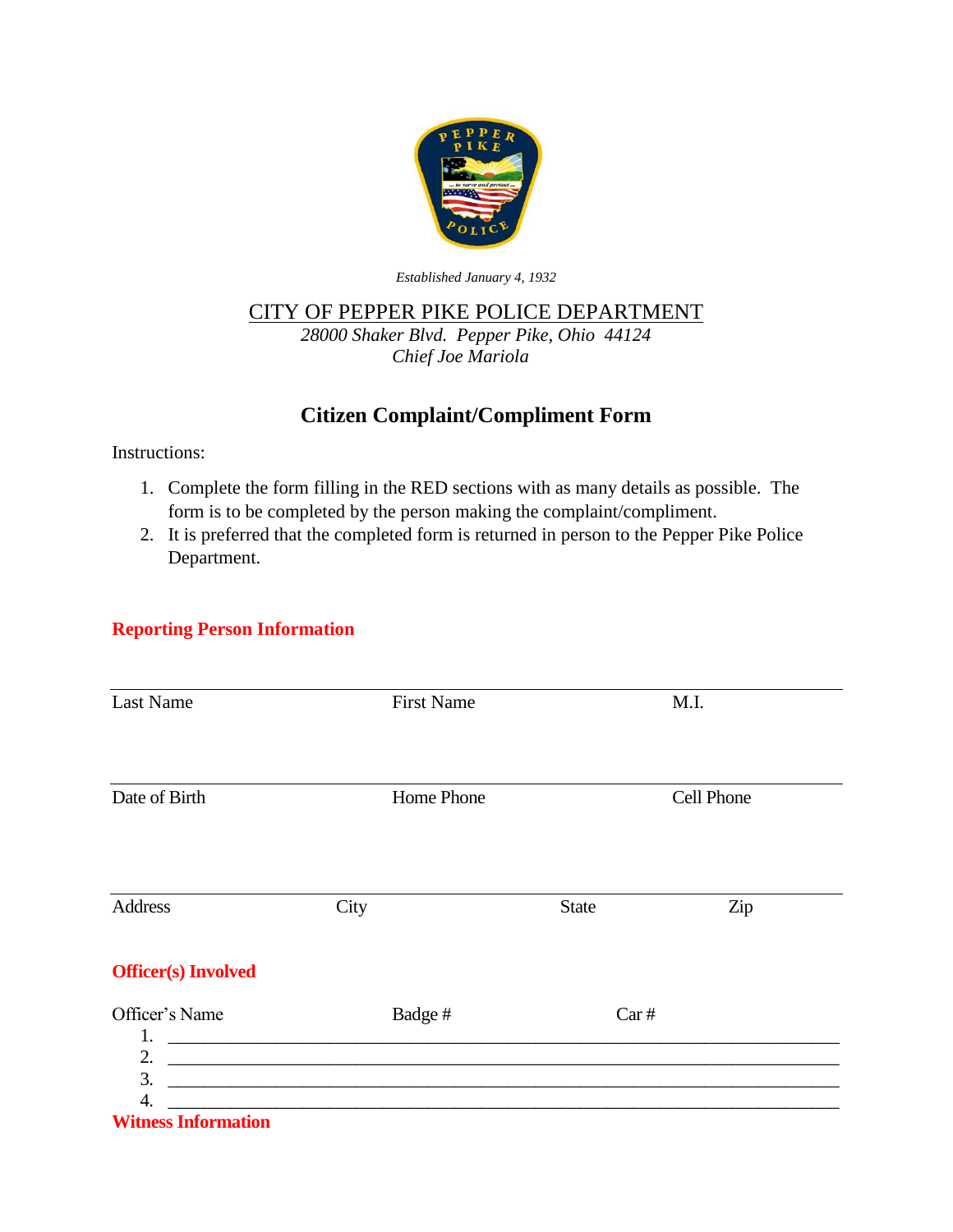

*Established January 4, 1932*

## CITY OF PEPPER PIKE POLICE DEPARTMENT

*28000 Shaker Blvd. Pepper Pike, Ohio 44124 Chief Joe Mariola*

## **Citizen Complaint/Compliment Form**

Instructions:

- 1. Complete the form filling in the RED sections with as many details as possible. The form is to be completed by the person making the complaint/compliment.
- 2. It is preferred that the completed form is returned in person to the Pepper Pike Police Department.

## **Reporting Person Information**

| <b>Last Name</b>           | <b>First Name</b>                                                                         |              | M.I.       |  |
|----------------------------|-------------------------------------------------------------------------------------------|--------------|------------|--|
|                            |                                                                                           |              |            |  |
|                            |                                                                                           |              |            |  |
| Date of Birth              | Home Phone                                                                                |              | Cell Phone |  |
|                            |                                                                                           |              |            |  |
| Address                    | City                                                                                      |              |            |  |
|                            |                                                                                           | <b>State</b> | Zip        |  |
| <b>Officer(s)</b> Involved |                                                                                           |              |            |  |
| Officer's Name             | Badge#                                                                                    |              | Car#       |  |
| 1.<br>2.                   |                                                                                           |              |            |  |
| 3.                         | the control of the control of the control of the control of the control of the control of |              |            |  |
| 4.                         |                                                                                           |              |            |  |
| <b>Witness Information</b> |                                                                                           |              |            |  |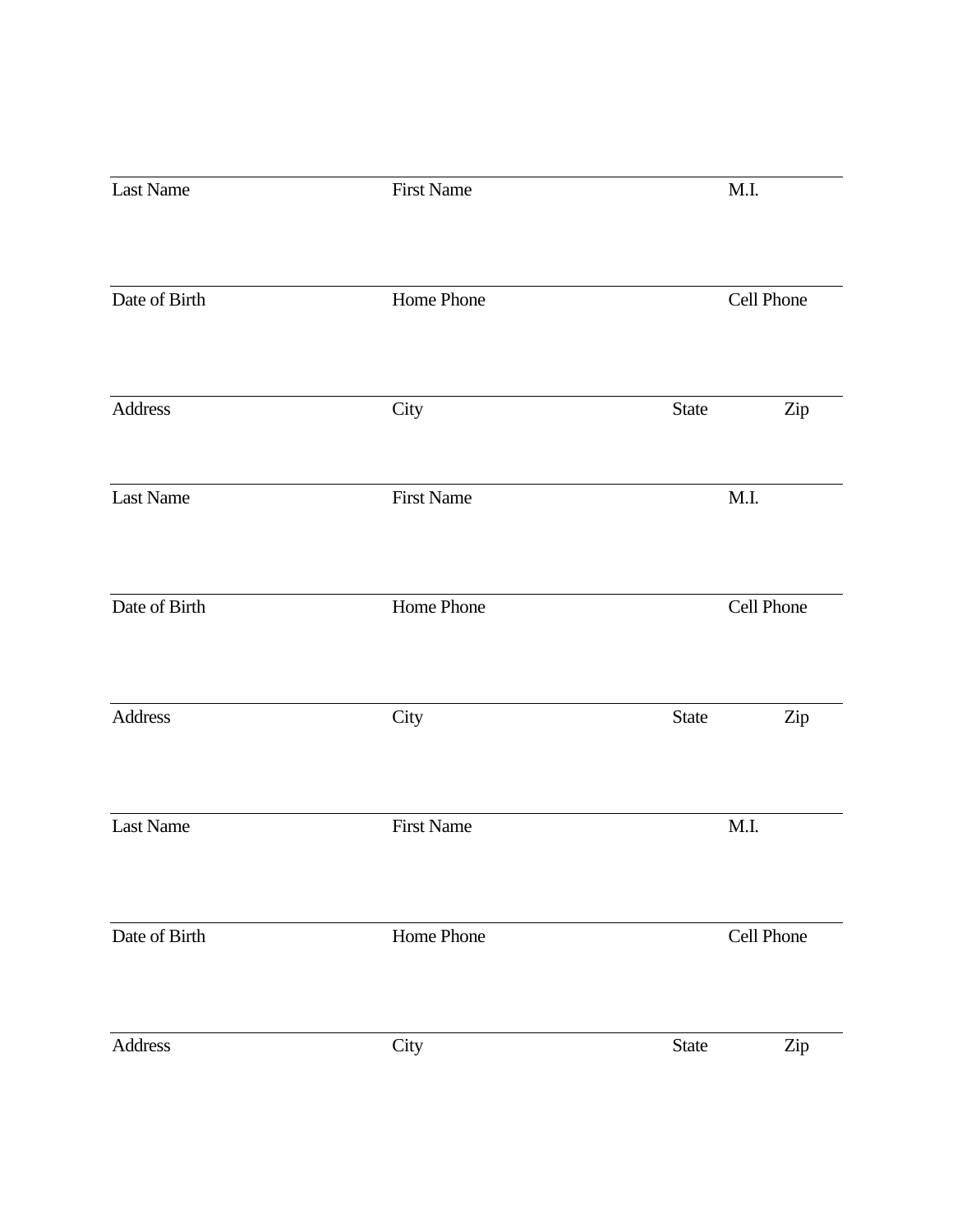| Last Name     | <b>First Name</b> | M.I.                |
|---------------|-------------------|---------------------|
| Date of Birth | Home Phone        | Cell Phone          |
|               |                   |                     |
| Address       | City              | Zip<br><b>State</b> |
| Last Name     | <b>First Name</b> | M.I.                |
| Date of Birth | Home Phone        | Cell Phone          |
| Address       | City              | <b>State</b><br>Zip |
| Last Name     | <b>First Name</b> | M.I.                |
| Date of Birth | Home Phone        | Cell Phone          |
| Address       | City              | State<br>Zip        |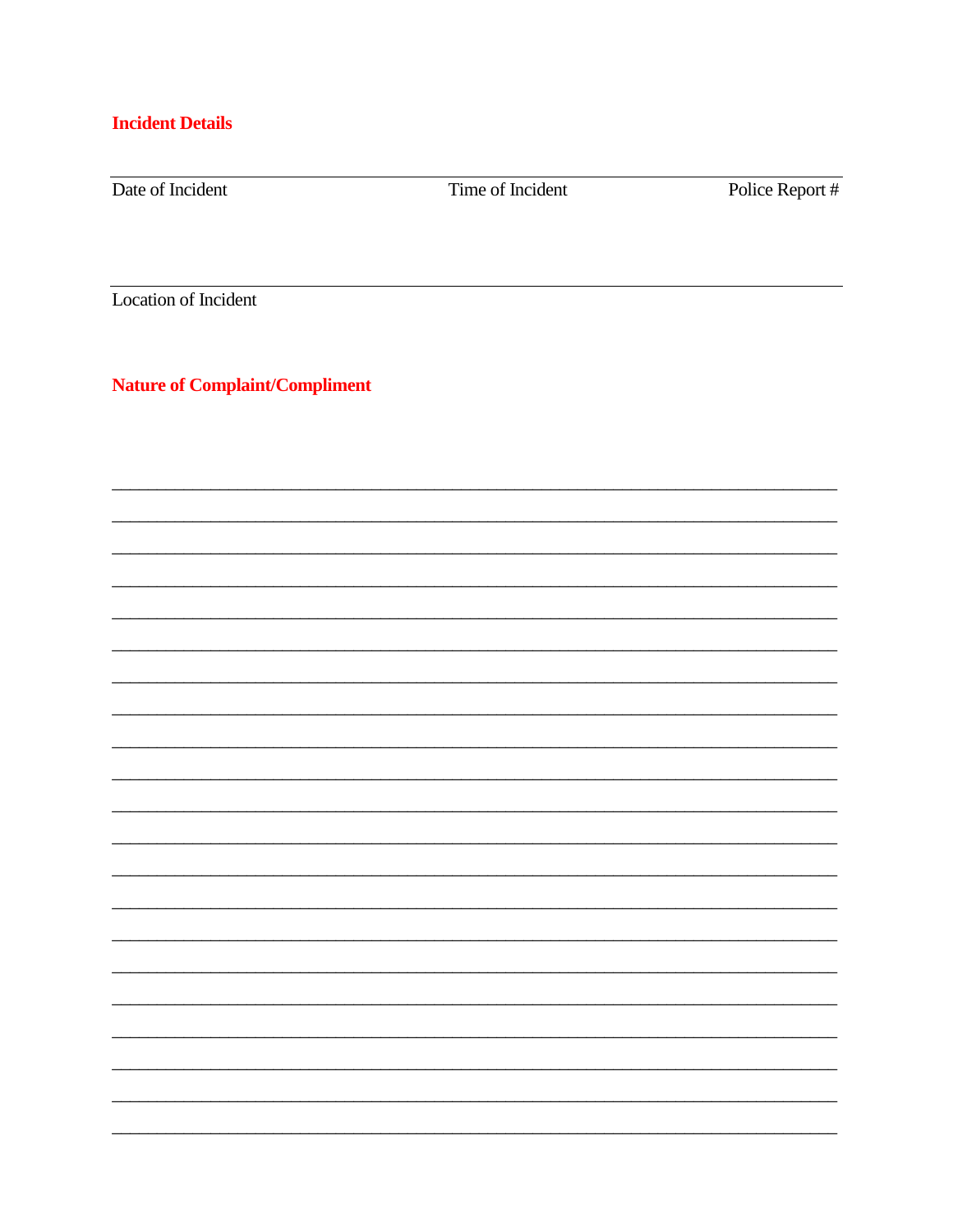## **Incident Details**

Date of Incident

Time of Incident

Police Report #

Location of Incident

**Nature of Complaint/Compliment**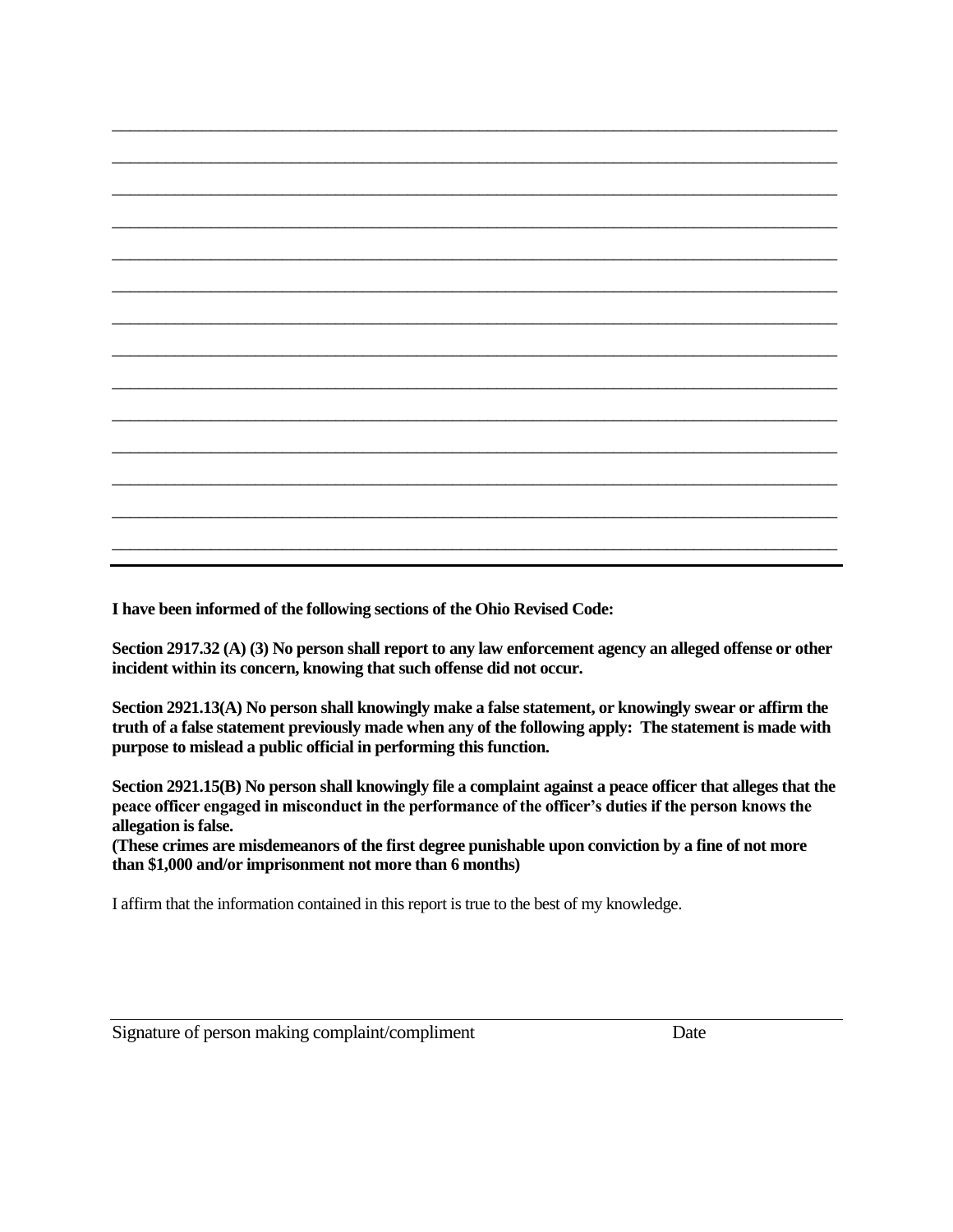\_\_\_\_\_\_\_\_\_\_\_\_\_\_\_\_\_\_\_\_\_\_\_\_\_\_\_\_\_\_\_\_\_\_\_\_\_\_\_\_\_\_\_\_\_\_\_\_\_\_\_\_\_\_\_\_\_\_\_\_\_\_\_\_\_\_\_\_\_\_\_\_\_\_\_\_\_\_\_\_\_ \_\_\_\_\_\_\_\_\_\_\_\_\_\_\_\_\_\_\_\_\_\_\_\_\_\_\_\_\_\_\_\_\_\_\_\_\_\_\_\_\_\_\_\_\_\_\_\_\_\_\_\_\_\_\_\_\_\_\_\_\_\_\_\_\_\_\_\_\_\_\_\_\_\_\_\_\_\_\_\_\_ \_\_\_\_\_\_\_\_\_\_\_\_\_\_\_\_\_\_\_\_\_\_\_\_\_\_\_\_\_\_\_\_\_\_\_\_\_\_\_\_\_\_\_\_\_\_\_\_\_\_\_\_\_\_\_\_\_\_\_\_\_\_\_\_\_\_\_\_\_\_\_\_\_\_\_\_\_\_\_\_\_ \_\_\_\_\_\_\_\_\_\_\_\_\_\_\_\_\_\_\_\_\_\_\_\_\_\_\_\_\_\_\_\_\_\_\_\_\_\_\_\_\_\_\_\_\_\_\_\_\_\_\_\_\_\_\_\_\_\_\_\_\_\_\_\_\_\_\_\_\_\_\_\_\_\_\_\_\_\_\_\_\_ \_\_\_\_\_\_\_\_\_\_\_\_\_\_\_\_\_\_\_\_\_\_\_\_\_\_\_\_\_\_\_\_\_\_\_\_\_\_\_\_\_\_\_\_\_\_\_\_\_\_\_\_\_\_\_\_\_\_\_\_\_\_\_\_\_\_\_\_\_\_\_\_\_\_\_\_\_\_\_\_\_ \_\_\_\_\_\_\_\_\_\_\_\_\_\_\_\_\_\_\_\_\_\_\_\_\_\_\_\_\_\_\_\_\_\_\_\_\_\_\_\_\_\_\_\_\_\_\_\_\_\_\_\_\_\_\_\_\_\_\_\_\_\_\_\_\_\_\_\_\_\_\_\_\_\_\_\_\_\_\_\_\_ \_\_\_\_\_\_\_\_\_\_\_\_\_\_\_\_\_\_\_\_\_\_\_\_\_\_\_\_\_\_\_\_\_\_\_\_\_\_\_\_\_\_\_\_\_\_\_\_\_\_\_\_\_\_\_\_\_\_\_\_\_\_\_\_\_\_\_\_\_\_\_\_\_\_\_\_\_\_\_\_\_ \_\_\_\_\_\_\_\_\_\_\_\_\_\_\_\_\_\_\_\_\_\_\_\_\_\_\_\_\_\_\_\_\_\_\_\_\_\_\_\_\_\_\_\_\_\_\_\_\_\_\_\_\_\_\_\_\_\_\_\_\_\_\_\_\_\_\_\_\_\_\_\_\_\_\_\_\_\_\_\_\_ \_\_\_\_\_\_\_\_\_\_\_\_\_\_\_\_\_\_\_\_\_\_\_\_\_\_\_\_\_\_\_\_\_\_\_\_\_\_\_\_\_\_\_\_\_\_\_\_\_\_\_\_\_\_\_\_\_\_\_\_\_\_\_\_\_\_\_\_\_\_\_\_\_\_\_\_\_\_\_\_\_ \_\_\_\_\_\_\_\_\_\_\_\_\_\_\_\_\_\_\_\_\_\_\_\_\_\_\_\_\_\_\_\_\_\_\_\_\_\_\_\_\_\_\_\_\_\_\_\_\_\_\_\_\_\_\_\_\_\_\_\_\_\_\_\_\_\_\_\_\_\_\_\_\_\_\_\_\_\_\_\_\_ \_\_\_\_\_\_\_\_\_\_\_\_\_\_\_\_\_\_\_\_\_\_\_\_\_\_\_\_\_\_\_\_\_\_\_\_\_\_\_\_\_\_\_\_\_\_\_\_\_\_\_\_\_\_\_\_\_\_\_\_\_\_\_\_\_\_\_\_\_\_\_\_\_\_\_\_\_\_\_\_\_ \_\_\_\_\_\_\_\_\_\_\_\_\_\_\_\_\_\_\_\_\_\_\_\_\_\_\_\_\_\_\_\_\_\_\_\_\_\_\_\_\_\_\_\_\_\_\_\_\_\_\_\_\_\_\_\_\_\_\_\_\_\_\_\_\_\_\_\_\_\_\_\_\_\_\_\_\_\_\_\_\_ \_\_\_\_\_\_\_\_\_\_\_\_\_\_\_\_\_\_\_\_\_\_\_\_\_\_\_\_\_\_\_\_\_\_\_\_\_\_\_\_\_\_\_\_\_\_\_\_\_\_\_\_\_\_\_\_\_\_\_\_\_\_\_\_\_\_\_\_\_\_\_\_\_\_\_\_\_\_\_\_\_

\_\_\_\_\_\_\_\_\_\_\_\_\_\_\_\_\_\_\_\_\_\_\_\_\_\_\_\_\_\_\_\_\_\_\_\_\_\_\_\_\_\_\_\_\_\_\_\_\_\_\_\_\_\_\_\_\_\_\_\_\_\_\_\_\_\_\_\_\_\_\_\_\_\_\_\_\_\_\_\_\_

**I have been informed of the following sections of the Ohio Revised Code:**

**Section 2917.32 (A) (3) No person shall report to any law enforcement agency an alleged offense or other incident within its concern, knowing that such offense did not occur.**

**Section 2921.13(A) No person shall knowingly make a false statement, or knowingly swear or affirm the truth of a false statement previously made when any of the following apply: The statement is made with purpose to mislead a public official in performing this function.**

**Section 2921.15(B) No person shall knowingly file a complaint against a peace officer that alleges that the peace officer engaged in misconduct in the performance of the officer's duties if the person knows the allegation is false.** 

**(These crimes are misdemeanors of the first degree punishable upon conviction by a fine of not more than \$1,000 and/or imprisonment not more than 6 months)**

I affirm that the information contained in this report is true to the best of my knowledge.